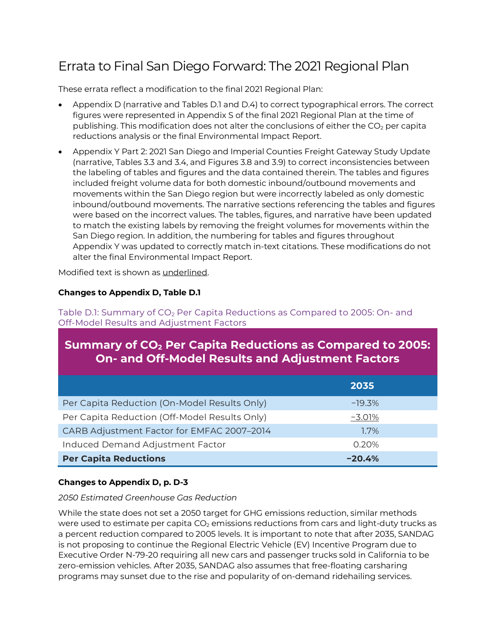# Errata to Final San Diego Forward: The 2021 Regional Plan

These errata reflect a modification to the final 2021 Regional Plan:

- Appendix D (narrative and Tables D.1 and D.4) to correct typographical errors. The correct figures were represented in Appendix S of the final 2021 Regional Plan at the time of publishing. This modification does not alter the conclusions of either the  $CO<sub>2</sub>$  per capita reductions analysis or the final Environmental Impact Report.
- Appendix Y Part 2: 2021 San Diego and Imperial Counties Freight Gateway Study Update (narrative, Tables 3.3 and 3.4, and Figures 3.8 and 3.9) to correct inconsistencies between the labeling of tables and figures and the data contained therein. The tables and figures included freight volume data for both domestic inbound/outbound movements and movements within the San Diego region but were incorrectly labeled as only domestic inbound/outbound movements. The narrative sections referencing the tables and figures were based on the incorrect values. The tables, figures, and narrative have been updated to match the existing labels by removing the freight volumes for movements within the San Diego region. In addition, the numbering for tables and figures throughout Appendix Y was updated to correctly match in-text citations. These modifications do not alter the final Environmental Impact Report.

Modified text is shown as underlined.

#### **Changes to Appendix D, Table D.1**

Table D.1: Summary of CO<sub>2</sub> Per Capita Reductions as Compared to 2005: On- and Off-Model Results and Adjustment Factors

# **Summary of CO2 Per Capita Reductions as Compared to 2005: On- and Off-Model Results and Adjustment Factors**

|                                               | 2035     |  |
|-----------------------------------------------|----------|--|
| Per Capita Reduction (On-Model Results Only)  | $-19.3%$ |  |
| Per Capita Reduction (Off-Model Results Only) | $-3.01%$ |  |
| CARB Adjustment Factor for EMFAC 2007-2014    | $1.7\%$  |  |
| Induced Demand Adjustment Factor              | 0.20%    |  |
| <b>Per Capita Reductions</b>                  | $-20.4%$ |  |

#### **Changes to Appendix D, p. D-3**

#### *2050 Estimated Greenhouse Gas Reduction*

While the state does not set a 2050 target for GHG emissions reduction, similar methods were used to estimate per capita  $CO<sub>2</sub>$  emissions reductions from cars and light-duty trucks as a percent reduction compared to 2005 levels. It is important to note that after 2035, SANDAG is not proposing to continue the Regional Electric Vehicle (EV) Incentive Program due to Executive Order N-79-20 requiring all new cars and passenger trucks sold in California to be zero-emission vehicles. After 2035, SANDAG also assumes that free-floating carsharing programs may sunset due to the rise and popularity of on-demand ridehailing services.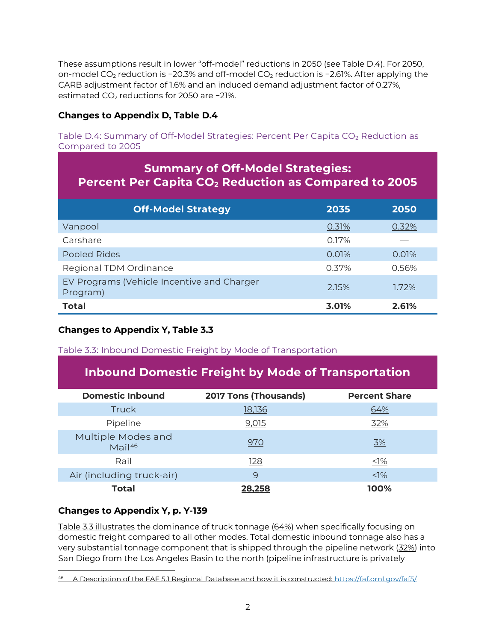These assumptions result in lower "off-model" reductions in 2050 (see Table D.4). For 2050, on-model CO<sub>2</sub> reduction is −20.3% and off-model CO<sub>2</sub> reduction is <u>−2.61%</u>. After applying the CARB adjustment factor of 1.6% and an induced demand adjustment factor of 0.27%, estimated CO<sub>2</sub> reductions for 2050 are −21%.

### **Changes to Appendix D, Table D.4**

Table D.4: Summary of Off-Model Strategies: Percent Per Capita  $CO<sub>2</sub>$  Reduction as Compared to 2005

| <b>Summary of Off-Model Strategies:</b><br>Percent Per Capita CO <sub>2</sub> Reduction as Compared to 2005 |       |       |  |  |
|-------------------------------------------------------------------------------------------------------------|-------|-------|--|--|
| <b>Off-Model Strategy</b>                                                                                   | 2035  | 2050  |  |  |
| Vanpool                                                                                                     | 0.31% | 0.32% |  |  |
| Carshare                                                                                                    | 0.17% |       |  |  |
| <b>Pooled Rides</b>                                                                                         | 0.01% | 0.01% |  |  |
| Regional TDM Ordinance                                                                                      | 0.37% | 0.56% |  |  |
| EV Programs (Vehicle Incentive and Charger<br>Program)                                                      | 2.15% | 1.72% |  |  |
| Total                                                                                                       | 3.01% | 2.61% |  |  |

## **Changes to Appendix Y, Table 3.3**

Table 3.3: Inbound Domestic Freight by Mode of Transportation

# **Inbound Domestic Freight by Mode of Transportation**

| <b>Domestic Inbound</b>           | <b>2017 Tons (Thousands)</b> | <b>Percent Share</b> |
|-----------------------------------|------------------------------|----------------------|
| <b>Truck</b>                      | 18,136                       | 64%                  |
| Pipeline                          | 9,015                        | 32%                  |
| Multiple Modes and<br>$Mail^{46}$ | 970                          | 3%                   |
| Rail                              | 128                          | $\leq$ 1%            |
| Air (including truck-air)         | 9                            | $< 1\%$              |
| Total                             | 28.258                       | 100%                 |

#### **Changes to Appendix Y, p. Y-139**

Table 3.3 illustrates the dominance of truck tonnage (64%) when specifically focusing on domestic freight compared to all other modes. Total domestic inbound tonnage also has a very substantial tonnage component that is shipped through the pipeline network (32%) into San Diego from the Los Angeles Basin to the north (pipeline infrastructure is privately

<span id="page-1-0"></span><sup>46</sup> A Description of the FAF 5.1 Regional Database and how it is constructed:<https://faf.ornl.gov/faf5/>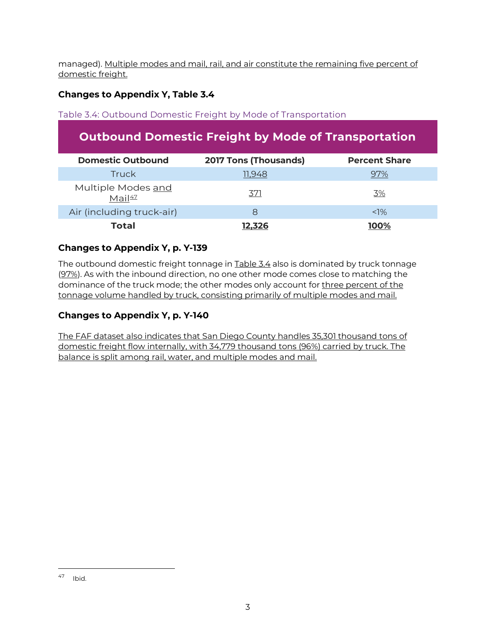managed). Multiple modes and mail, rail, and air constitute the remaining five percent of domestic freight.

# **Changes to Appendix Y, Table 3.4**

### Table 3.4: Outbound Domestic Freight by Mode of Transportation

# **Outbound Domestic Freight by Mode of Transportation**

| <b>Domestic Outbound</b>                 | <b>2017 Tons (Thousands)</b> | <b>Percent Share</b> |
|------------------------------------------|------------------------------|----------------------|
| Truck                                    | 11.948                       | 97%                  |
| Multiple Modes and<br>Mail <sup>47</sup> | <u>371</u>                   | 3%                   |
| Air (including truck-air)                | 8                            | $< 1\%$              |
| Total                                    | 12.326                       | 100%                 |

### **Changes to Appendix Y, p. Y-139**

The outbound domestic freight tonnage in Table 3.4 also is dominated by truck tonnage (97%). As with the inbound direction, no one other mode comes close to matching the dominance of the truck mode; the other modes only account for three percent of the tonnage volume handled by truck, consisting primarily of multiple modes and mail.

### **Changes to Appendix Y, p. Y-140**

The FAF dataset also indicates that San Diego County handles 35,301 thousand tons of domestic freight flow internally, with 34,779 thousand tons (96%) carried by truck. The balance is split among rail, water, and multiple modes and mail.

<span id="page-2-0"></span><sup>47</sup> Ibid.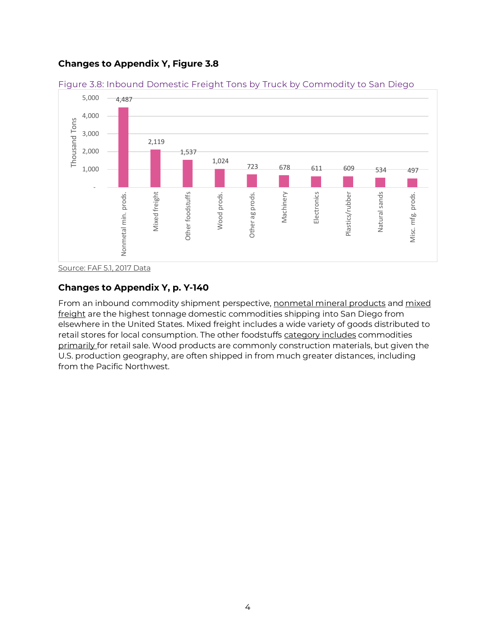### **Changes to Appendix Y, Figure 3.8**



Figure 3.8: Inbound Domestic Freight Tons by Truck by Commodity to San Diego

#### **Changes to Appendix Y, p. Y-140**

From an inbound commodity shipment perspective, nonmetal mineral products and mixed freight are the highest tonnage domestic commodities shipping into San Diego from elsewhere in the United States. Mixed freight includes a wide variety of goods distributed to retail stores for local consumption. The other foodstuffs category includes commodities primarily for retail sale. Wood products are commonly construction materials, but given the U.S. production geography, are often shipped in from much greater distances, including from the Pacific Northwest.

Source: FAF 5.1, 2017 Data